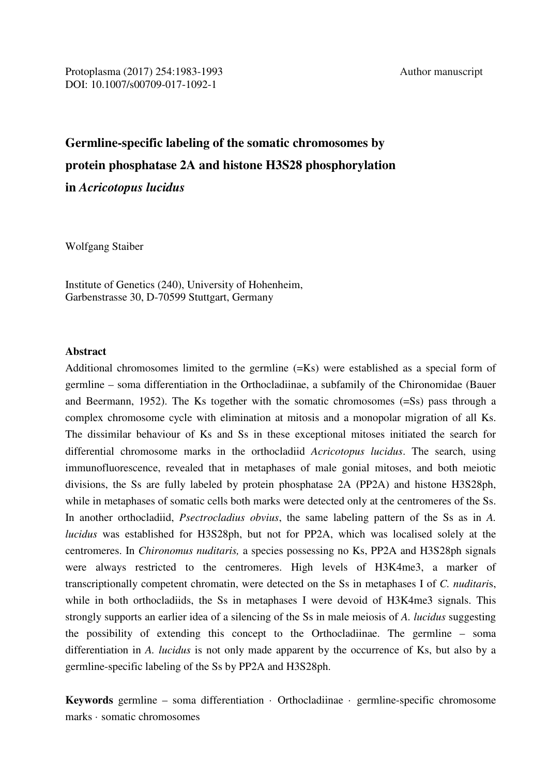# **Germline-specific labeling of the somatic chromosomes by protein phosphatase 2A and histone H3S28 phosphorylation in** *Acricotopus lucidus*

Wolfgang Staiber

Institute of Genetics (240), University of Hohenheim, Garbenstrasse 30, D-70599 Stuttgart, Germany

### **Abstract**

Additional chromosomes limited to the germline (=Ks) were established as a special form of germline – soma differentiation in the Orthocladiinae, a subfamily of the Chironomidae (Bauer and Beermann, 1952). The Ks together with the somatic chromosomes (=Ss) pass through a complex chromosome cycle with elimination at mitosis and a monopolar migration of all Ks. The dissimilar behaviour of Ks and Ss in these exceptional mitoses initiated the search for differential chromosome marks in the orthocladiid *Acricotopus lucidus*. The search, using immunofluorescence, revealed that in metaphases of male gonial mitoses, and both meiotic divisions, the Ss are fully labeled by protein phosphatase 2A (PP2A) and histone H3S28ph, while in metaphases of somatic cells both marks were detected only at the centromeres of the Ss. In another orthocladiid, *Psectrocladius obvius*, the same labeling pattern of the Ss as in *A. lucidus* was established for H3S28ph, but not for PP2A, which was localised solely at the centromeres. In *Chironomus nuditaris,* a species possessing no Ks, PP2A and H3S28ph signals were always restricted to the centromeres. High levels of H3K4me3, a marker of transcriptionally competent chromatin, were detected on the Ss in metaphases I of *C. nuditari*s, while in both orthocladiids, the Ss in metaphases I were devoid of H3K4me3 signals. This strongly supports an earlier idea of a silencing of the Ss in male meiosis of *A. lucidus* suggesting the possibility of extending this concept to the Orthocladiinae. The germline – soma differentiation in *A. lucidus* is not only made apparent by the occurrence of Ks, but also by a germline-specific labeling of the Ss by PP2A and H3S28ph.

**Keywords** germline – soma differentiation · Orthocladiinae · germline-specific chromosome marks · somatic chromosomes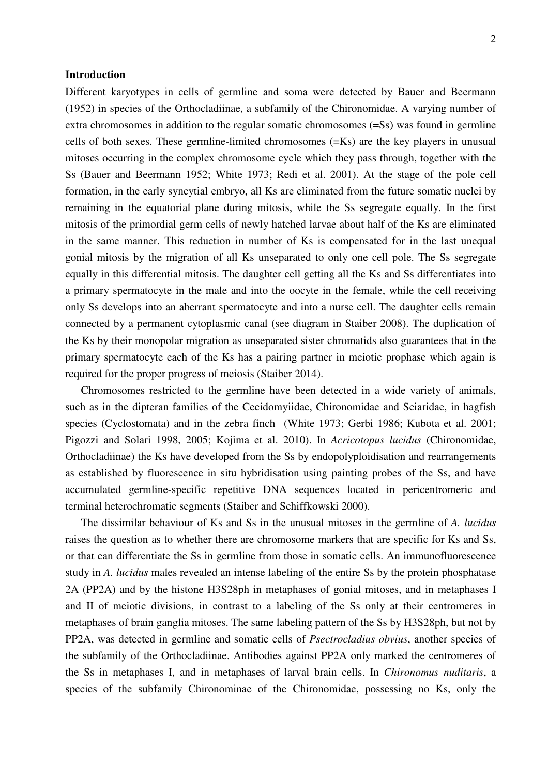### **Introduction**

Different karyotypes in cells of germline and soma were detected by Bauer and Beermann (1952) in species of the Orthocladiinae, a subfamily of the Chironomidae. A varying number of extra chromosomes in addition to the regular somatic chromosomes (=Ss) was found in germline cells of both sexes. These germline-limited chromosomes (=Ks) are the key players in unusual mitoses occurring in the complex chromosome cycle which they pass through, together with the Ss (Bauer and Beermann 1952; White 1973; Redi et al. 2001). At the stage of the pole cell formation, in the early syncytial embryo, all Ks are eliminated from the future somatic nuclei by remaining in the equatorial plane during mitosis, while the Ss segregate equally. In the first mitosis of the primordial germ cells of newly hatched larvae about half of the Ks are eliminated in the same manner. This reduction in number of Ks is compensated for in the last unequal gonial mitosis by the migration of all Ks unseparated to only one cell pole. The Ss segregate equally in this differential mitosis. The daughter cell getting all the Ks and Ss differentiates into a primary spermatocyte in the male and into the oocyte in the female, while the cell receiving only Ss develops into an aberrant spermatocyte and into a nurse cell. The daughter cells remain connected by a permanent cytoplasmic canal (see diagram in Staiber 2008). The duplication of the Ks by their monopolar migration as unseparated sister chromatids also guarantees that in the primary spermatocyte each of the Ks has a pairing partner in meiotic prophase which again is required for the proper progress of meiosis (Staiber 2014).

Chromosomes restricted to the germline have been detected in a wide variety of animals, such as in the dipteran families of the Cecidomyiidae, Chironomidae and Sciaridae, in hagfish species (Cyclostomata) and in the zebra finch (White 1973; Gerbi 1986; Kubota et al. 2001; Pigozzi and Solari 1998, 2005; Kojima et al. 2010). In *Acricotopus lucidus* (Chironomidae, Orthocladiinae) the Ks have developed from the Ss by endopolyploidisation and rearrangements as established by fluorescence in situ hybridisation using painting probes of the Ss, and have accumulated germline-specific repetitive DNA sequences located in pericentromeric and terminal heterochromatic segments (Staiber and Schiffkowski 2000).

The dissimilar behaviour of Ks and Ss in the unusual mitoses in the germline of *A. lucidus*  raises the question as to whether there are chromosome markers that are specific for Ks and Ss, or that can differentiate the Ss in germline from those in somatic cells. An immunofluorescence study in *A. lucidus* males revealed an intense labeling of the entire Ss by the protein phosphatase 2A (PP2A) and by the histone H3S28ph in metaphases of gonial mitoses, and in metaphases I and II of meiotic divisions, in contrast to a labeling of the Ss only at their centromeres in metaphases of brain ganglia mitoses. The same labeling pattern of the Ss by H3S28ph, but not by PP2A, was detected in germline and somatic cells of *Psectrocladius obvius*, another species of the subfamily of the Orthocladiinae. Antibodies against PP2A only marked the centromeres of the Ss in metaphases I, and in metaphases of larval brain cells. In *Chironomus nuditaris*, a species of the subfamily Chironominae of the Chironomidae, possessing no Ks, only the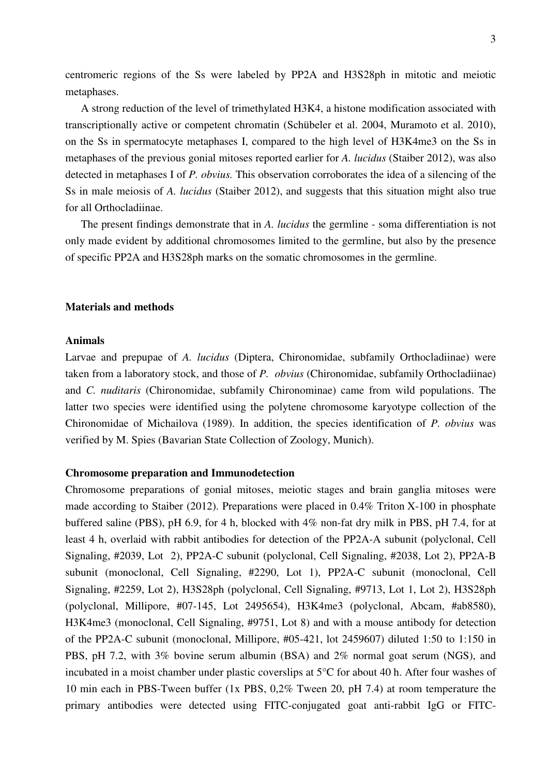centromeric regions of the Ss were labeled by PP2A and H3S28ph in mitotic and meiotic metaphases.

A strong reduction of the level of trimethylated H3K4, a histone modification associated with transcriptionally active or competent chromatin (Schübeler et al. 2004, Muramoto et al. 2010), on the Ss in spermatocyte metaphases I, compared to the high level of H3K4me3 on the Ss in metaphases of the previous gonial mitoses reported earlier for *A. lucidus* (Staiber 2012), was also detected in metaphases I of *P. obvius.* This observation corroborates the idea of a silencing of the Ss in male meiosis of *A. lucidus* (Staiber 2012), and suggests that this situation might also true for all Orthocladiinae.

The present findings demonstrate that in *A. lucidus* the germline - soma differentiation is not only made evident by additional chromosomes limited to the germline, but also by the presence of specific PP2A and H3S28ph marks on the somatic chromosomes in the germline.

### **Materials and methods**

#### **Animals**

Larvae and prepupae of *A. lucidus* (Diptera, Chironomidae, subfamily Orthocladiinae) were taken from a laboratory stock, and those of *P. obvius* (Chironomidae, subfamily Orthocladiinae) and *C. nuditaris* (Chironomidae, subfamily Chironominae) came from wild populations. The latter two species were identified using the polytene chromosome karyotype collection of the Chironomidae of Michailova (1989). In addition, the species identification of *P. obvius* was verified by M. Spies (Bavarian State Collection of Zoology, Munich).

### **Chromosome preparation and Immunodetection**

Chromosome preparations of gonial mitoses, meiotic stages and brain ganglia mitoses were made according to Staiber (2012). Preparations were placed in 0.4% Triton X-100 in phosphate buffered saline (PBS), pH 6.9, for 4 h, blocked with 4% non-fat dry milk in PBS, pH 7.4, for at least 4 h, overlaid with rabbit antibodies for detection of the PP2A-A subunit (polyclonal, Cell Signaling, #2039, Lot 2), PP2A-C subunit (polyclonal, Cell Signaling, #2038, Lot 2), PP2A-B subunit (monoclonal, Cell Signaling, #2290, Lot 1), PP2A-C subunit (monoclonal, Cell Signaling, #2259, Lot 2), H3S28ph (polyclonal, Cell Signaling, #9713, Lot 1, Lot 2), H3S28ph (polyclonal, Millipore, #07-145, Lot 2495654), H3K4me3 (polyclonal, Abcam, #ab8580), H3K4me3 (monoclonal, Cell Signaling, #9751, Lot 8) and with a mouse antibody for detection of the PP2A-C subunit (monoclonal, Millipore, #05-421, lot 2459607) diluted 1:50 to 1:150 in PBS, pH 7.2, with 3% bovine serum albumin (BSA) and 2% normal goat serum (NGS), and incubated in a moist chamber under plastic coverslips at 5°C for about 40 h. After four washes of 10 min each in PBS-Tween buffer (1x PBS, 0,2% Tween 20, pH 7.4) at room temperature the primary antibodies were detected using FITC-conjugated goat anti-rabbit IgG or FITC-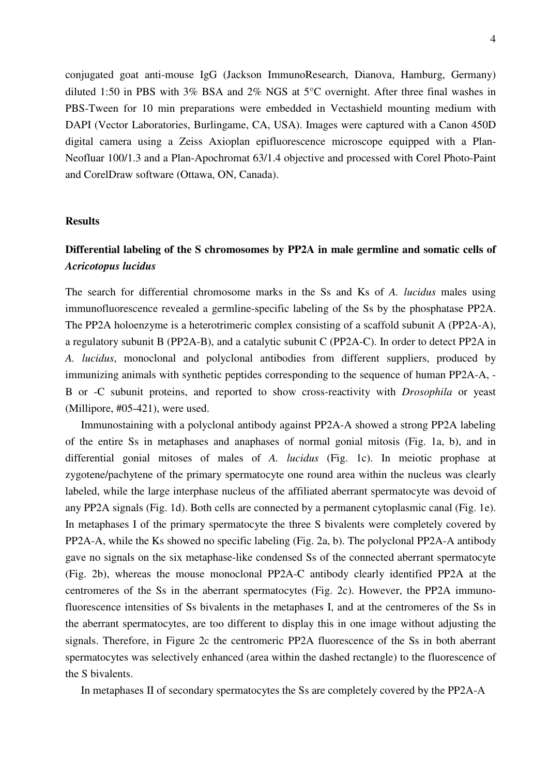conjugated goat anti-mouse IgG (Jackson ImmunoResearch, Dianova, Hamburg, Germany) diluted 1:50 in PBS with 3% BSA and 2% NGS at 5°C overnight. After three final washes in PBS-Tween for 10 min preparations were embedded in Vectashield mounting medium with DAPI (Vector Laboratories, Burlingame, CA, USA). Images were captured with a Canon 450D digital camera using a Zeiss Axioplan epifluorescence microscope equipped with a Plan-Neofluar 100/1.3 and a Plan-Apochromat 63/1.4 objective and processed with Corel Photo-Paint and CorelDraw software (Ottawa, ON, Canada).

### **Results**

### **Differential labeling of the S chromosomes by PP2A in male germline and somatic cells of**  *Acricotopus lucidus*

The search for differential chromosome marks in the Ss and Ks of *A. lucidus* males using immunofluorescence revealed a germline-specific labeling of the Ss by the phosphatase PP2A. The PP2A holoenzyme is a heterotrimeric complex consisting of a scaffold subunit A (PP2A-A), a regulatory subunit B (PP2A-B), and a catalytic subunit C (PP2A-C). In order to detect PP2A in *A. lucidus*, monoclonal and polyclonal antibodies from different suppliers, produced by immunizing animals with synthetic peptides corresponding to the sequence of human PP2A-A, - B or -C subunit proteins, and reported to show cross-reactivity with *Drosophila* or yeast (Millipore, #05-421), were used.

Immunostaining with a polyclonal antibody against PP2A-A showed a strong PP2A labeling of the entire Ss in metaphases and anaphases of normal gonial mitosis (Fig. 1a, b), and in differential gonial mitoses of males of *A. lucidus* (Fig. 1c). In meiotic prophase at zygotene/pachytene of the primary spermatocyte one round area within the nucleus was clearly labeled, while the large interphase nucleus of the affiliated aberrant spermatocyte was devoid of any PP2A signals (Fig. 1d). Both cells are connected by a permanent cytoplasmic canal (Fig. 1e). In metaphases I of the primary spermatocyte the three S bivalents were completely covered by PP2A-A, while the Ks showed no specific labeling (Fig. 2a, b). The polyclonal PP2A-A antibody gave no signals on the six metaphase-like condensed Ss of the connected aberrant spermatocyte (Fig. 2b), whereas the mouse monoclonal PP2A-C antibody clearly identified PP2A at the centromeres of the Ss in the aberrant spermatocytes (Fig. 2c). However, the PP2A immunofluorescence intensities of Ss bivalents in the metaphases I, and at the centromeres of the Ss in the aberrant spermatocytes, are too different to display this in one image without adjusting the signals. Therefore, in Figure 2c the centromeric PP2A fluorescence of the Ss in both aberrant spermatocytes was selectively enhanced (area within the dashed rectangle) to the fluorescence of the S bivalents.

In metaphases II of secondary spermatocytes the Ss are completely covered by the PP2A-A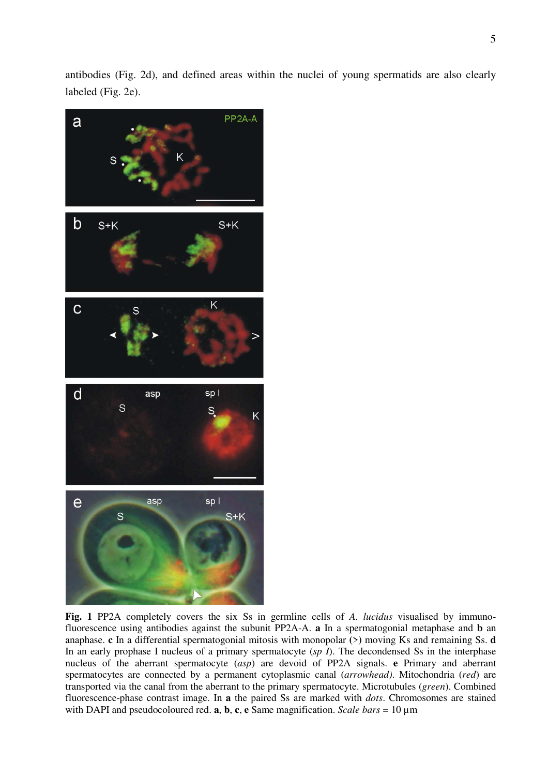antibodies (Fig. 2d), and defined areas within the nuclei of young spermatids are also clearly labeled (Fig. 2e).



**Fig. 1** PP2A completely covers the six Ss in germline cells of *A. lucidus* visualised by immunofluorescence using antibodies against the subunit PP2A-A. **a** In a spermatogonial metaphase and **b** an anaphase. **c** In a differential spermatogonial mitosis with monopolar **(**>**)** moving Ks and remaining Ss. **d** In an early prophase I nucleus of a primary spermatocyte (*sp I*). The decondensed Ss in the interphase nucleus of the aberrant spermatocyte (*asp*) are devoid of PP2A signals. **e** Primary and aberrant spermatocytes are connected by a permanent cytoplasmic canal (*arrowhead)*. Mitochondria (*red*) are transported via the canal from the aberrant to the primary spermatocyte. Microtubules (*green*). Combined fluorescence-phase contrast image. In **a** the paired Ss are marked with *dots*. Chromosomes are stained with DAPI and pseudocoloured red. **a**, **b**, **c**, **e** Same magnification. *Scale bars* = 10 µm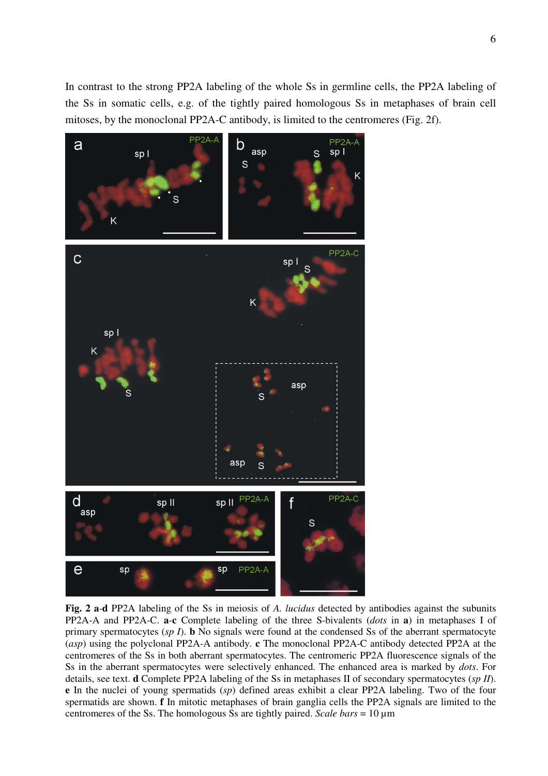In contrast to the strong PP2A labeling of the whole Ss in germline cells, the PP2A labeling of the Ss in somatic cells, e.g. of the tightly paired homologous Ss in metaphases of brain cell mitoses, by the monoclonal PP2A-C antibody, is limited to the centromeres (Fig. 2f).



**Fig. 2 a**-**d** PP2A labeling of the Ss in meiosis of *A. lucidus* detected by antibodies against the subunits PP2A-A and PP2A-C. **a**-**c** Complete labeling of the three S-bivalents (*dots* in **a**) in metaphases I of primary spermatocytes (*sp I*). **b** No signals were found at the condensed Ss of the aberrant spermatocyte (*asp*) using the polyclonal PP2A-A antibody. **c** The monoclonal PP2A-C antibody detected PP2A at the centromeres of the Ss in both aberrant spermatocytes. The centromeric PP2A fluorescence signals of the Ss in the aberrant spermatocytes were selectively enhanced. The enhanced area is marked by *dots*. For details, see text. **d** Complete PP2A labeling of the Ss in metaphases II of secondary spermatocytes (*sp II*). **e** In the nuclei of young spermatids (*sp*) defined areas exhibit a clear PP2A labeling. Two of the four spermatids are shown. **f** In mitotic metaphases of brain ganglia cells the PP2A signals are limited to the centromeres of the Ss. The homologous Ss are tightly paired. *Scale bars* = 10 um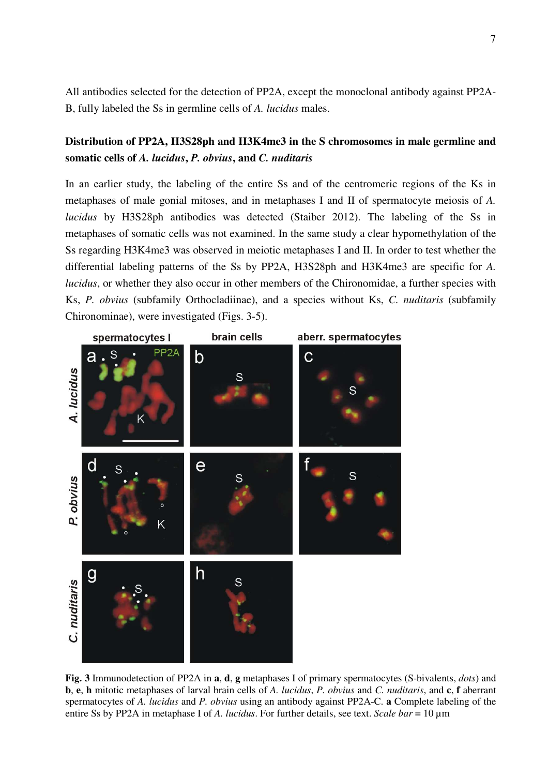All antibodies selected for the detection of PP2A, except the monoclonal antibody against PP2A-B, fully labeled the Ss in germline cells of *A. lucidus* males.

### **Distribution of PP2A, H3S28ph and H3K4me3 in the S chromosomes in male germline and somatic cells of** *A. lucidus***,** *P. obvius***, and** *C. nuditaris*

In an earlier study, the labeling of the entire Ss and of the centromeric regions of the Ks in metaphases of male gonial mitoses, and in metaphases I and II of spermatocyte meiosis of *A. lucidus* by H3S28ph antibodies was detected (Staiber 2012). The labeling of the Ss in metaphases of somatic cells was not examined. In the same study a clear hypomethylation of the Ss regarding H3K4me3 was observed in meiotic metaphases I and II. In order to test whether the differential labeling patterns of the Ss by PP2A, H3S28ph and H3K4me3 are specific for *A. lucidus*, or whether they also occur in other members of the Chironomidae, a further species with Ks, *P. obvius* (subfamily Orthocladiinae), and a species without Ks, *C. nuditaris* (subfamily Chironominae), were investigated (Figs. 3-5).



**Fig. 3** Immunodetection of PP2A in **a**, **d**, **g** metaphases I of primary spermatocytes (S-bivalents, *dots*) and **b**, **e**, **h** mitotic metaphases of larval brain cells of *A. lucidus*, *P. obvius* and *C. nuditaris*, and **c**, **f** aberrant spermatocytes of *A. lucidus* and *P. obvius* using an antibody against PP2A-C. **a** Complete labeling of the entire Ss by PP2A in metaphase I of *A. lucidus*. For further details, see text. *Scale bar* = 10 µm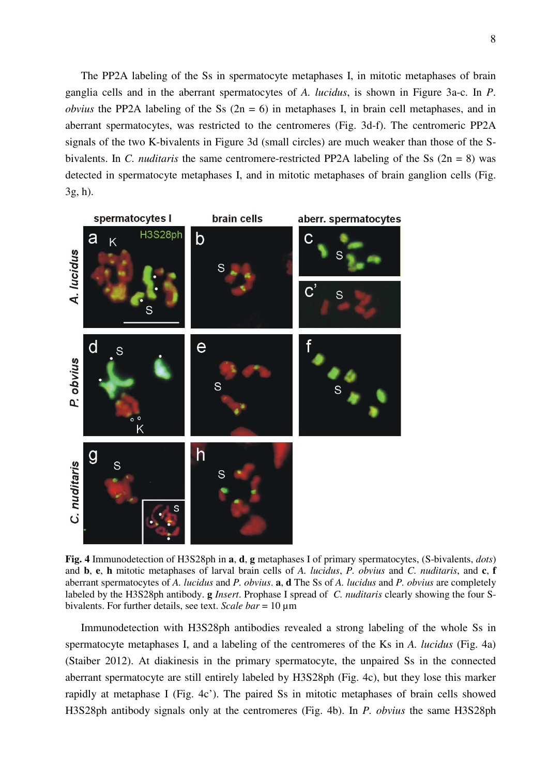The PP2A labeling of the Ss in spermatocyte metaphases I, in mitotic metaphases of brain ganglia cells and in the aberrant spermatocytes of *A. lucidus*, is shown in Figure 3a-c. In *P*. *obvius* the PP2A labeling of the Ss  $(2n = 6)$  in metaphases I, in brain cell metaphases, and in aberrant spermatocytes, was restricted to the centromeres (Fig. 3d-f). The centromeric PP2A signals of the two K-bivalents in Figure 3d (small circles) are much weaker than those of the Sbivalents. In *C. nuditaris* the same centromere-restricted PP2A labeling of the Ss (2n = 8) was detected in spermatocyte metaphases I, and in mitotic metaphases of brain ganglion cells (Fig. 3g, h).



**Fig. 4** Immunodetection of H3S28ph in **a**, **d**, **g** metaphases I of primary spermatocytes, (S-bivalents, *dots*) and **b**, **e**, **h** mitotic metaphases of larval brain cells of *A. lucidus*, *P. obvius* and *C. nuditaris*, and **c**, **f** aberrant spermatocytes of *A. lucidus* and *P. obvius*. **a**, **d** The Ss of *A. lucidus* and *P. obvius* are completely labeled by the H3S28ph antibody. **g** *Insert*. Prophase I spread of *C. nuditaris* clearly showing the four Sbivalents. For further details, see text. *Scale bar* = 10 µm

Immunodetection with H3S28ph antibodies revealed a strong labeling of the whole Ss in spermatocyte metaphases I, and a labeling of the centromeres of the Ks in *A. lucidus* (Fig. 4a) (Staiber 2012). At diakinesis in the primary spermatocyte, the unpaired Ss in the connected aberrant spermatocyte are still entirely labeled by H3S28ph (Fig. 4c), but they lose this marker rapidly at metaphase I (Fig. 4c'). The paired Ss in mitotic metaphases of brain cells showed H3S28ph antibody signals only at the centromeres (Fig. 4b). In *P. obvius* the same H3S28ph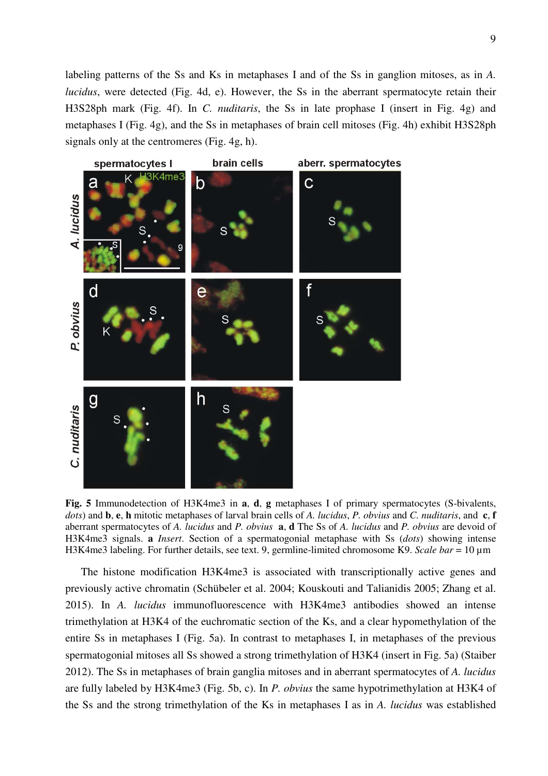labeling patterns of the Ss and Ks in metaphases I and of the Ss in ganglion mitoses, as in *A. lucidus*, were detected (Fig. 4d, e). However, the Ss in the aberrant spermatocyte retain their H3S28ph mark (Fig. 4f). In *C. nuditaris*, the Ss in late prophase I (insert in Fig. 4g) and metaphases I (Fig. 4g), and the Ss in metaphases of brain cell mitoses (Fig. 4h) exhibit H3S28ph signals only at the centromeres (Fig. 4g, h).



**Fig. 5** Immunodetection of H3K4me3 in **a**, **d**, **g** metaphases I of primary spermatocytes (S-bivalents, *dots*) and **b**, **e**, **h** mitotic metaphases of larval brain cells of *A. lucidus*, *P. obvius* and *C. nuditaris*, and **c**, **f** aberrant spermatocytes of *A. lucidus* and *P. obvius* **a**, **d** The Ss of *A. lucidus* and *P. obvius* are devoid of H3K4me3 signals. **a** *Insert*. Section of a spermatogonial metaphase with Ss (*dots*) showing intense H3K4me3 labeling. For further details, see text. 9, germline-limited chromosome K9. *Scale bar* = 10 µm

The histone modification H3K4me3 is associated with transcriptionally active genes and previously active chromatin (Schübeler et al. 2004; Kouskouti and Talianidis 2005; Zhang et al. 2015). In *A. lucidus* immunofluorescence with H3K4me3 antibodies showed an intense trimethylation at H3K4 of the euchromatic section of the Ks, and a clear hypomethylation of the entire Ss in metaphases I (Fig. 5a). In contrast to metaphases I, in metaphases of the previous spermatogonial mitoses all Ss showed a strong trimethylation of H3K4 (insert in Fig. 5a) (Staiber 2012). The Ss in metaphases of brain ganglia mitoses and in aberrant spermatocytes of *A. lucidus* are fully labeled by H3K4me3 (Fig. 5b, c). In *P. obvius* the same hypotrimethylation at H3K4 of the Ss and the strong trimethylation of the Ks in metaphases I as in *A. lucidus* was established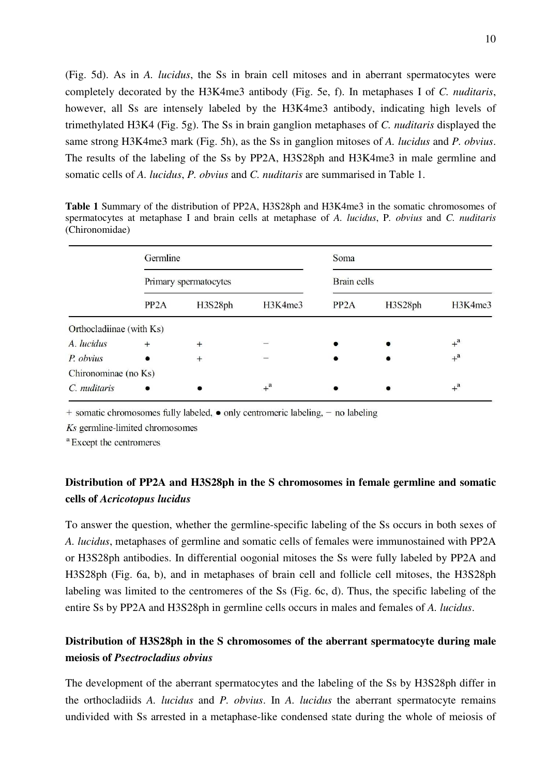(Fig. 5d). As in *A. lucidus*, the Ss in brain cell mitoses and in aberrant spermatocytes were completely decorated by the H3K4me3 antibody (Fig. 5e, f). In metaphases I of *C. nuditaris*, however, all Ss are intensely labeled by the H3K4me3 antibody, indicating high levels of trimethylated H3K4 (Fig. 5g). The Ss in brain ganglion metaphases of *C. nuditaris* displayed the same strong H3K4me3 mark (Fig. 5h), as the Ss in ganglion mitoses of *A. lucidus* and *P. obvius*. The results of the labeling of the Ss by PP2A, H3S28ph and H3K4me3 in male germline and somatic cells of *A. lucidus*, *P. obvius* and *C. nuditaris* are summarised in Table 1.

**Table 1** Summary of the distribution of PP2A, H3S28ph and H3K4me3 in the somatic chromosomes of spermatocytes at metaphase I and brain cells at metaphase of *A. lucidus*, P*. obvius* and *C. nuditaris* (Chironomidae)

|                          | Germline<br>Primary spermatocytes |         |                  | Soma<br><b>Brain cells</b> |         |                  |
|--------------------------|-----------------------------------|---------|------------------|----------------------------|---------|------------------|
|                          |                                   |         |                  |                            |         |                  |
|                          | PP <sub>2</sub> A                 | H3S28ph | H3K4me3          | PP <sub>2</sub> A          | H3S28ph | H3K4me3          |
| Orthocladiinae (with Ks) |                                   |         |                  |                            |         |                  |
| A. lucidus               | $+$                               | $+$     |                  |                            |         | $+$ <sup>a</sup> |
| P. obvius                | $\bullet$                         | $+$     |                  |                            |         | $+$ <sup>a</sup> |
| Chironominae (no Ks)     |                                   |         |                  |                            |         |                  |
| C. <i>nuditaris</i>      |                                   |         | $+$ <sup>a</sup> |                            |         | $+$ <sup>a</sup> |

+ somatic chromosomes fully labeled, • only centromeric labeling, - no labeling

Ks germline-limited chromosomes

<sup>a</sup> Except the centromeres

## **Distribution of PP2A and H3S28ph in the S chromosomes in female germline and somatic cells of** *Acricotopus lucidus*

To answer the question, whether the germline-specific labeling of the Ss occurs in both sexes of *A. lucidus*, metaphases of germline and somatic cells of females were immunostained with PP2A or H3S28ph antibodies. In differential oogonial mitoses the Ss were fully labeled by PP2A and H3S28ph (Fig. 6a, b), and in metaphases of brain cell and follicle cell mitoses, the H3S28ph labeling was limited to the centromeres of the Ss (Fig. 6c, d). Thus, the specific labeling of the entire Ss by PP2A and H3S28ph in germline cells occurs in males and females of *A. lucidus*.

### **Distribution of H3S28ph in the S chromosomes of the aberrant spermatocyte during male meiosis of** *Psectrocladius obvius*

The development of the aberrant spermatocytes and the labeling of the Ss by H3S28ph differ in the orthocladiids *A. lucidus* and *P. obvius*. In *A. lucidus* the aberrant spermatocyte remains undivided with Ss arrested in a metaphase-like condensed state during the whole of meiosis of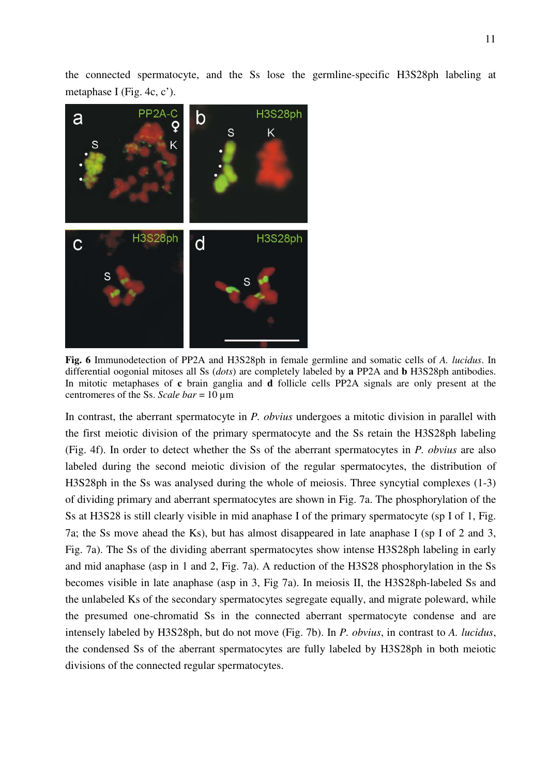the connected spermatocyte, and the Ss lose the germline-specific H3S28ph labeling at metaphase I (Fig. 4c, c').



**Fig. 6** Immunodetection of PP2A and H3S28ph in female germline and somatic cells of *A. lucidus*. In differential oogonial mitoses all Ss (*dots*) are completely labeled by **a** PP2A and **b** H3S28ph antibodies. In mitotic metaphases of **c** brain ganglia and **d** follicle cells PP2A signals are only present at the centromeres of the Ss. *Scale bar* = 10 µm

In contrast, the aberrant spermatocyte in *P. obvius* undergoes a mitotic division in parallel with the first meiotic division of the primary spermatocyte and the Ss retain the H3S28ph labeling (Fig. 4f). In order to detect whether the Ss of the aberrant spermatocytes in *P. obvius* are also labeled during the second meiotic division of the regular spermatocytes, the distribution of H3S28ph in the Ss was analysed during the whole of meiosis. Three syncytial complexes (1-3) of dividing primary and aberrant spermatocytes are shown in Fig. 7a. The phosphorylation of the Ss at H3S28 is still clearly visible in mid anaphase I of the primary spermatocyte (sp I of 1, Fig. 7a; the Ss move ahead the Ks), but has almost disappeared in late anaphase I (sp I of 2 and 3, Fig. 7a). The Ss of the dividing aberrant spermatocytes show intense H3S28ph labeling in early and mid anaphase (asp in 1 and 2, Fig. 7a). A reduction of the H3S28 phosphorylation in the Ss becomes visible in late anaphase (asp in 3, Fig 7a). In meiosis II, the H3S28ph-labeled Ss and the unlabeled Ks of the secondary spermatocytes segregate equally, and migrate poleward, while the presumed one-chromatid Ss in the connected aberrant spermatocyte condense and are intensely labeled by H3S28ph, but do not move (Fig. 7b). In *P. obvius*, in contrast to *A. lucidus*, the condensed Ss of the aberrant spermatocytes are fully labeled by H3S28ph in both meiotic divisions of the connected regular spermatocytes.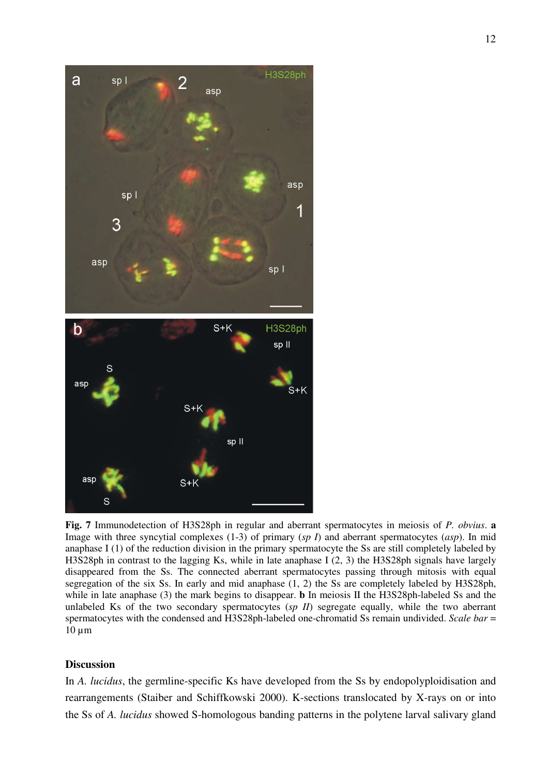

**Fig. 7** Immunodetection of H3S28ph in regular and aberrant spermatocytes in meiosis of *P. obvius*. **a** Image with three syncytial complexes (1-3) of primary (*sp I*) and aberrant spermatocytes (*asp*). In mid anaphase I (1) of the reduction division in the primary spermatocyte the Ss are still completely labeled by H3S28ph in contrast to the lagging Ks, while in late anaphase I (2, 3) the H3S28ph signals have largely disappeared from the Ss. The connected aberrant spermatocytes passing through mitosis with equal segregation of the six Ss. In early and mid anaphase (1, 2) the Ss are completely labeled by H3S28ph, while in late anaphase (3) the mark begins to disappear. **b** In meiosis II the H3S28ph-labeled Ss and the unlabeled Ks of the two secondary spermatocytes (*sp II*) segregate equally, while the two aberrant spermatocytes with the condensed and H3S28ph-labeled one-chromatid Ss remain undivided. *Scale bar* =  $10 \mu m$ 

### **Discussion**

In *A. lucidus*, the germline-specific Ks have developed from the Ss by endopolyploidisation and rearrangements (Staiber and Schiffkowski 2000). K-sections translocated by X-rays on or into the Ss of *A. lucidus* showed S-homologous banding patterns in the polytene larval salivary gland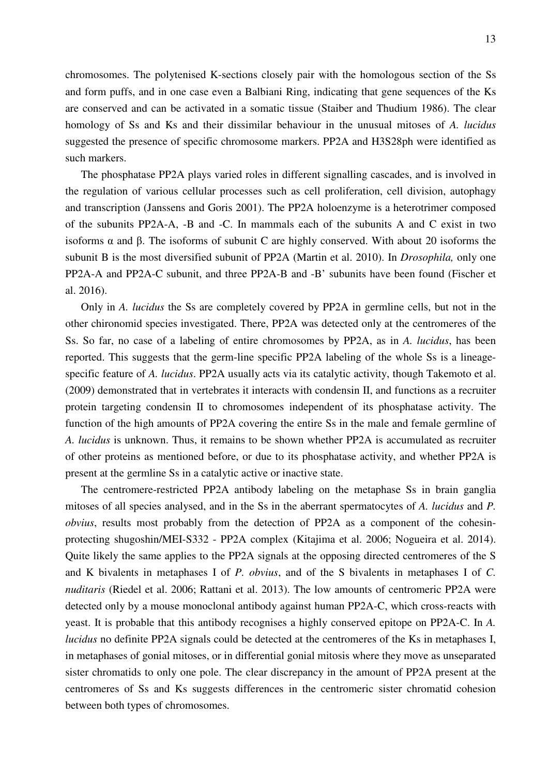13

chromosomes. The polytenised K-sections closely pair with the homologous section of the Ss and form puffs, and in one case even a Balbiani Ring, indicating that gene sequences of the Ks are conserved and can be activated in a somatic tissue (Staiber and Thudium 1986). The clear homology of Ss and Ks and their dissimilar behaviour in the unusual mitoses of *A. lucidus* suggested the presence of specific chromosome markers. PP2A and H3S28ph were identified as such markers.

The phosphatase PP2A plays varied roles in different signalling cascades, and is involved in the regulation of various cellular processes such as cell proliferation, cell division, autophagy and transcription (Janssens and Goris 2001). The PP2A holoenzyme is a heterotrimer composed of the subunits PP2A-A, -B and -C. In mammals each of the subunits A and C exist in two isoforms α and β. The isoforms of subunit C are highly conserved. With about 20 isoforms the subunit B is the most diversified subunit of PP2A (Martin et al. 2010). In *Drosophila,* only one PP2A-A and PP2A-C subunit, and three PP2A-B and -B' subunits have been found (Fischer et al. 2016).

Only in *A. lucidus* the Ss are completely covered by PP2A in germline cells, but not in the other chironomid species investigated. There, PP2A was detected only at the centromeres of the Ss. So far, no case of a labeling of entire chromosomes by PP2A, as in *A. lucidus*, has been reported. This suggests that the germ-line specific PP2A labeling of the whole Ss is a lineagespecific feature of *A. lucidus*. PP2A usually acts via its catalytic activity, though Takemoto et al. (2009) demonstrated that in vertebrates it interacts with condensin II, and functions as a recruiter protein targeting condensin II to chromosomes independent of its phosphatase activity. The function of the high amounts of PP2A covering the entire Ss in the male and female germline of *A. lucidus* is unknown. Thus, it remains to be shown whether PP2A is accumulated as recruiter of other proteins as mentioned before, or due to its phosphatase activity, and whether PP2A is present at the germline Ss in a catalytic active or inactive state.

The centromere-restricted PP2A antibody labeling on the metaphase Ss in brain ganglia mitoses of all species analysed, and in the Ss in the aberrant spermatocytes of *A. lucidus* and *P. obvius*, results most probably from the detection of PP2A as a component of the cohesinprotecting shugoshin/MEI-S332 - PP2A complex (Kitajima et al. 2006; Nogueira et al. 2014). Quite likely the same applies to the PP2A signals at the opposing directed centromeres of the S and K bivalents in metaphases I of *P. obvius*, and of the S bivalents in metaphases I of *C. nuditaris* (Riedel et al. 2006; Rattani et al. 2013). The low amounts of centromeric PP2A were detected only by a mouse monoclonal antibody against human PP2A-C, which cross-reacts with yeast. It is probable that this antibody recognises a highly conserved epitope on PP2A-C. In *A. lucidus* no definite PP2A signals could be detected at the centromeres of the Ks in metaphases I, in metaphases of gonial mitoses, or in differential gonial mitosis where they move as unseparated sister chromatids to only one pole. The clear discrepancy in the amount of PP2A present at the centromeres of Ss and Ks suggests differences in the centromeric sister chromatid cohesion between both types of chromosomes.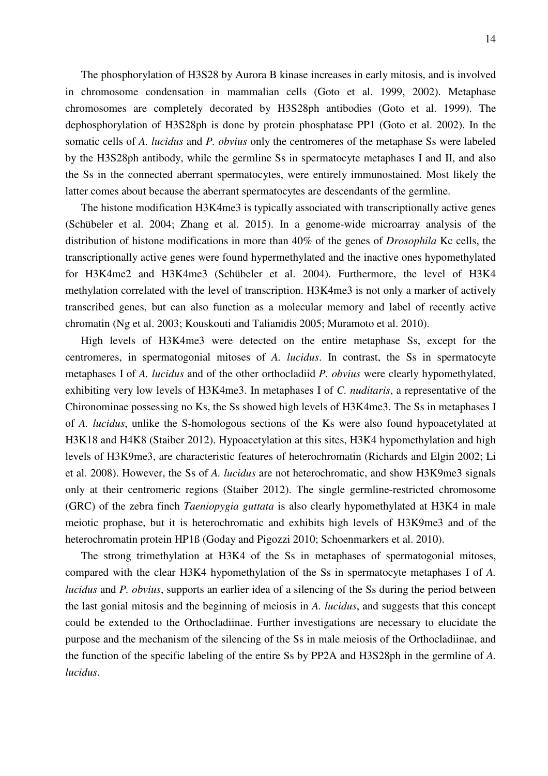The phosphorylation of H3S28 by Aurora B kinase increases in early mitosis, and is involved in chromosome condensation in mammalian cells (Goto et al. 1999, 2002). Metaphase chromosomes are completely decorated by H3S28ph antibodies (Goto et al. 1999). The dephosphorylation of H3S28ph is done by protein phosphatase PP1 (Goto et al. 2002). In the somatic cells of *A. lucidus* and *P. obvius* only the centromeres of the metaphase Ss were labeled by the H3S28ph antibody, while the germline Ss in spermatocyte metaphases I and II, and also the Ss in the connected aberrant spermatocytes, were entirely immunostained. Most likely the latter comes about because the aberrant spermatocytes are descendants of the germline.

The histone modification H3K4me3 is typically associated with transcriptionally active genes (Schübeler et al. 2004; Zhang et al. 2015). In a genome-wide microarray analysis of the distribution of histone modifications in more than 40% of the genes of *Drosophila* Kc cells, the transcriptionally active genes were found hypermethylated and the inactive ones hypomethylated for H3K4me2 and H3K4me3 (Schübeler et al. 2004). Furthermore, the level of H3K4 methylation correlated with the level of transcription. H3K4me3 is not only a marker of actively transcribed genes, but can also function as a molecular memory and label of recently active chromatin (Ng et al. 2003; Kouskouti and Talianidis 2005; Muramoto et al. 2010).

High levels of H3K4me3 were detected on the entire metaphase Ss, except for the centromeres, in spermatogonial mitoses of *A. lucidus*. In contrast, the Ss in spermatocyte metaphases I of *A. lucidus* and of the other orthocladiid *P. obvius* were clearly hypomethylated, exhibiting very low levels of H3K4me3. In metaphases I of *C. nuditaris*, a representative of the Chironominae possessing no Ks, the Ss showed high levels of H3K4me3. The Ss in metaphases I of *A. lucidus*, unlike the S-homologous sections of the Ks were also found hypoacetylated at H3K18 and H4K8 (Staiber 2012). Hypoacetylation at this sites, H3K4 hypomethylation and high levels of H3K9me3, are characteristic features of heterochromatin (Richards and Elgin 2002; Li et al. 2008). However, the Ss of *A. lucidus* are not heterochromatic, and show H3K9me3 signals only at their centromeric regions (Staiber 2012). The single germline-restricted chromosome (GRC) of the zebra finch *Taeniopygia guttata* is also clearly hypomethylated at H3K4 in male meiotic prophase, but it is heterochromatic and exhibits high levels of H3K9me3 and of the heterochromatin protein HP1ß (Goday and Pigozzi 2010; Schoenmarkers et al. 2010).

The strong trimethylation at H3K4 of the Ss in metaphases of spermatogonial mitoses, compared with the clear H3K4 hypomethylation of the Ss in spermatocyte metaphases I of *A. lucidus* and *P. obvius*, supports an earlier idea of a silencing of the Ss during the period between the last gonial mitosis and the beginning of meiosis in *A. lucidus*, and suggests that this concept could be extended to the Orthocladiinae. Further investigations are necessary to elucidate the purpose and the mechanism of the silencing of the Ss in male meiosis of the Orthocladiinae, and the function of the specific labeling of the entire Ss by PP2A and H3S28ph in the germline of *A. lucidus*.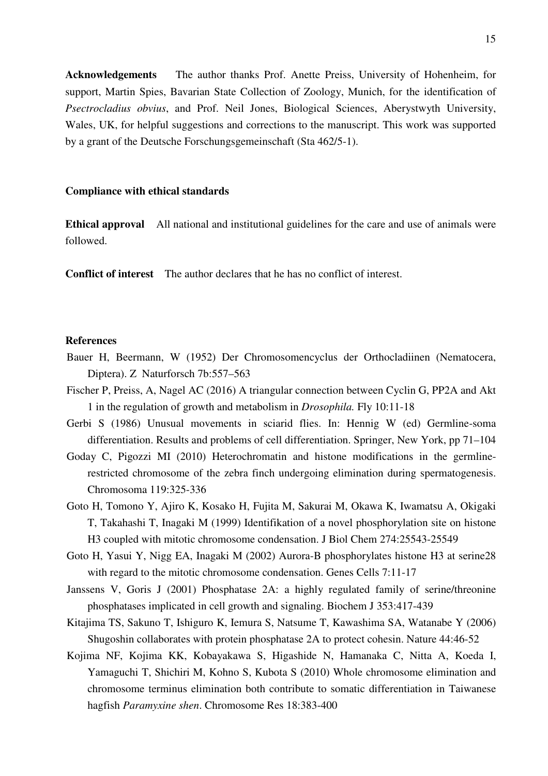**Acknowledgements** The author thanks Prof. Anette Preiss, University of Hohenheim, for support, Martin Spies, Bavarian State Collection of Zoology, Munich, for the identification of *Psectrocladius obvius*, and Prof. Neil Jones, Biological Sciences, Aberystwyth University, Wales, UK, for helpful suggestions and corrections to the manuscript. This work was supported by a grant of the Deutsche Forschungsgemeinschaft (Sta 462/5-1).

#### **Compliance with ethical standards**

**Ethical approval** All national and institutional guidelines for the care and use of animals were followed.

**Conflict of interest** The author declares that he has no conflict of interest.

### **References**

- Bauer H, Beermann, W (1952) Der Chromosomencyclus der Orthocladiinen (Nematocera, Diptera). Z Naturforsch 7b:557–563
- Fischer P, Preiss, A, Nagel AC (2016) A triangular connection between Cyclin G, PP2A and Akt 1 in the regulation of growth and metabolism in *Drosophila.* Fly 10:11-18
- Gerbi S (1986) Unusual movements in sciarid flies. In: Hennig W (ed) Germline-soma differentiation. Results and problems of cell differentiation. Springer, New York, pp 71–104
- Goday C, Pigozzi MI (2010) Heterochromatin and histone modifications in the germlinerestricted chromosome of the zebra finch undergoing elimination during spermatogenesis. Chromosoma 119:325-336
- Goto H, Tomono Y, Ajiro K, Kosako H, Fujita M, Sakurai M, Okawa K, Iwamatsu A, Okigaki T, Takahashi T, Inagaki M (1999) Identifikation of a novel phosphorylation site on histone H3 coupled with mitotic chromosome condensation. J Biol Chem 274:25543-25549
- Goto H, Yasui Y, Nigg EA, Inagaki M (2002) Aurora-B phosphorylates histone H3 at serine28 with regard to the mitotic chromosome condensation. Genes Cells 7:11-17
- Janssens V, Goris J (2001) Phosphatase 2A: a highly regulated family of serine/threonine phosphatases implicated in cell growth and signaling. Biochem J 353:417-439
- Kitajima TS, Sakuno T, Ishiguro K, Iemura S, Natsume T, Kawashima SA, Watanabe Y (2006) Shugoshin collaborates with protein phosphatase 2A to protect cohesin. Nature 44:46-52
- Kojima NF, Kojima KK, Kobayakawa S, Higashide N, Hamanaka C, Nitta A, Koeda I, Yamaguchi T, Shichiri M, Kohno S, Kubota S (2010) Whole chromosome elimination and chromosome terminus elimination both contribute to somatic differentiation in Taiwanese hagfish *Paramyxine shen*. Chromosome Res 18:383-400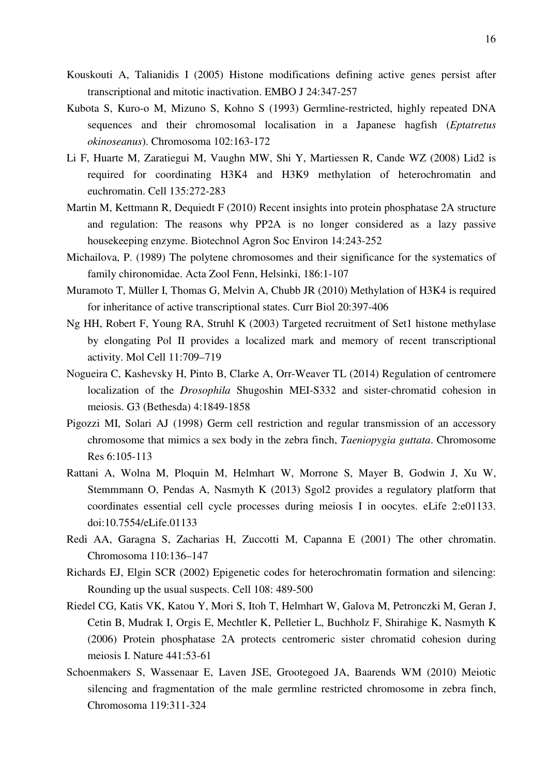- Kouskouti A, Talianidis I (2005) Histone modifications defining active genes persist after transcriptional and mitotic inactivation. EMBO J 24:347-257
- Kubota S, Kuro-o M, Mizuno S, Kohno S (1993) Germline-restricted, highly repeated DNA sequences and their chromosomal localisation in a Japanese hagfish (*Eptatretus okinoseanus*). Chromosoma 102:163-172
- Li F, Huarte M, Zaratiegui M, Vaughn MW, Shi Y, Martiessen R, Cande WZ (2008) Lid2 is required for coordinating H3K4 and H3K9 methylation of heterochromatin and euchromatin. Cell 135:272-283
- Martin M, Kettmann R, Dequiedt F (2010) Recent insights into protein phosphatase 2A structure and regulation: The reasons why PP2A is no longer considered as a lazy passive housekeeping enzyme. Biotechnol Agron Soc Environ 14:243-252
- Michailova, P. (1989) The polytene chromosomes and their significance for the systematics of family chironomidae. Acta Zool Fenn, Helsinki, 186:1-107
- Muramoto T, Müller I, Thomas G, Melvin A, Chubb JR (2010) Methylation of H3K4 is required for inheritance of active transcriptional states. Curr Biol 20:397-406
- Ng HH, Robert F, Young RA, Struhl K (2003) Targeted recruitment of Set1 histone methylase by elongating Pol II provides a localized mark and memory of recent transcriptional activity. Mol Cell 11:709–719
- Nogueira C, Kashevsky H, Pinto B, Clarke A, Orr-Weaver TL (2014) Regulation of centromere localization of the *Drosophila* Shugoshin MEI-S332 and sister-chromatid cohesion in meiosis. G3 (Bethesda) 4:1849-1858
- Pigozzi MI, Solari AJ (1998) Germ cell restriction and regular transmission of an accessory chromosome that mimics a sex body in the zebra finch, *Taeniopygia guttata*. Chromosome Res 6:105-113
- Rattani A, Wolna M, Ploquin M, Helmhart W, Morrone S, Mayer B, Godwin J, Xu W, Stemmmann O, Pendas A, Nasmyth K (2013) Sgol2 provides a regulatory platform that coordinates essential cell cycle processes during meiosis I in oocytes. eLife 2:e01133. doi:10.7554/eLife.01133
- Redi AA, Garagna S, Zacharias H, Zuccotti M, Capanna E (2001) The other chromatin. Chromosoma 110:136–147
- Richards EJ, Elgin SCR (2002) Epigenetic codes for heterochromatin formation and silencing: Rounding up the usual suspects. Cell 108: 489-500
- Riedel CG, Katis VK, Katou Y, Mori S, Itoh T, Helmhart W, Galova M, Petronczki M, Geran J, Cetin B, Mudrak I, Orgis E, Mechtler K, Pelletier L, Buchholz F, Shirahige K, Nasmyth K (2006) Protein phosphatase 2A protects centromeric sister chromatid cohesion during meiosis I. Nature 441:53-61
- Schoenmakers S, Wassenaar E, Laven JSE, Grootegoed JA, Baarends WM (2010) Meiotic silencing and fragmentation of the male germline restricted chromosome in zebra finch, Chromosoma 119:311-324